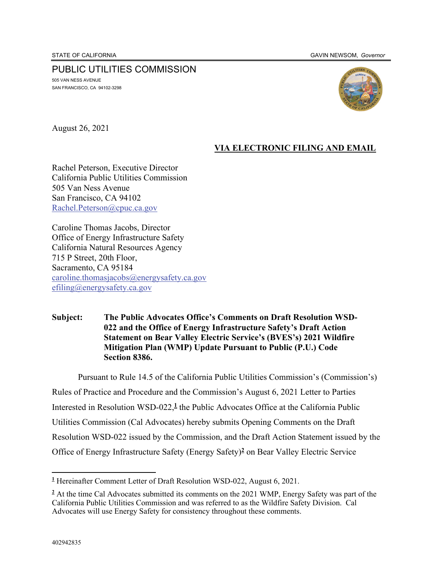#### PUBLIC UTILITIES COMMISSION 505 VAN NESS AVENUE

SAN FRANCISCO, CA 94102-3298



August 26, 2021

## **VIA ELECTRONIC FILING AND EMAIL**

Rachel Peterson, Executive Director California Public Utilities Commission 505 Van Ness Avenue San Francisco, CA 94102 Rachel.Peterson@cpuc.ca.gov

Caroline Thomas Jacobs, Director Office of Energy Infrastructure Safety California Natural Resources Agency 715 P Street, 20th Floor, Sacramento, CA 95184 caroline.thomasjacobs@energysafety.ca.gov efiling@energysafety.ca.gov

#### **Subject: The Public Advocates Office's Comments on Draft Resolution WSD-022 and the Office of Energy Infrastructure Safety's Draft Action Statement on Bear Valley Electric Service's (BVES's) 2021 Wildfire Mitigation Plan (WMP) Update Pursuant to Public (P.U.) Code Section 8386.**

Pursuant to Rule 14.5 of the California Public Utilities Commission's (Commission's) Rules of Practice and Procedure and the Commission's August 6, 2021 Letter to Parties Interested in Resolution WSD-022,**<sup>1</sup>** the Public Advocates Office at the California Public Utilities Commission (Cal Advocates) hereby submits Opening Comments on the Draft Resolution WSD-022 issued by the Commission, and the Draft Action Statement issued by the Office of Energy Infrastructure Safety (Energy Safety)**<sup>2</sup>** on Bear Valley Electric Service

**<sup>1</sup>** Hereinafter Comment Letter of Draft Resolution WSD-022, August 6, 2021.

<sup>&</sup>lt;sup>2</sup> At the time Cal Advocates submitted its comments on the 2021 WMP, Energy Safety was part of the California Public Utilities Commission and was referred to as the Wildfire Safety Division. Cal Advocates will use Energy Safety for consistency throughout these comments.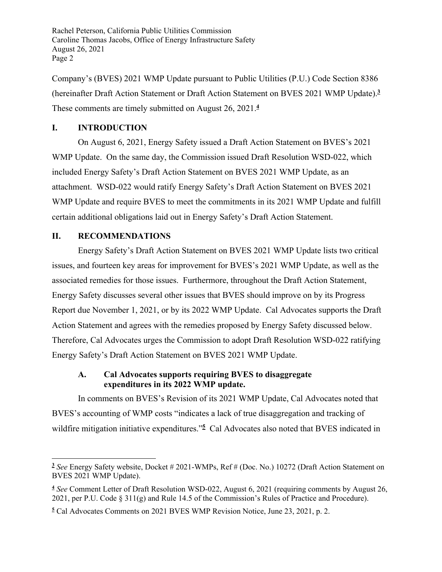Company's (BVES) 2021 WMP Update pursuant to Public Utilities (P.U.) Code Section 8386 (hereinafter Draft Action Statement or Draft Action Statement on BVES 2021 WMP Update).**<sup>3</sup>** These comments are timely submitted on August 26, 2021.**<sup>4</sup>**

## **I. INTRODUCTION**

On August 6, 2021, Energy Safety issued a Draft Action Statement on BVES's 2021 WMP Update. On the same day, the Commission issued Draft Resolution WSD-022, which included Energy Safety's Draft Action Statement on BVES 2021 WMP Update, as an attachment. WSD-022 would ratify Energy Safety's Draft Action Statement on BVES 2021 WMP Update and require BVES to meet the commitments in its 2021 WMP Update and fulfill certain additional obligations laid out in Energy Safety's Draft Action Statement.

## **II. RECOMMENDATIONS**

Energy Safety's Draft Action Statement on BVES 2021 WMP Update lists two critical issues, and fourteen key areas for improvement for BVES's 2021 WMP Update, as well as the associated remedies for those issues. Furthermore, throughout the Draft Action Statement, Energy Safety discusses several other issues that BVES should improve on by its Progress Report due November 1, 2021, or by its 2022 WMP Update. Cal Advocates supports the Draft Action Statement and agrees with the remedies proposed by Energy Safety discussed below. Therefore, Cal Advocates urges the Commission to adopt Draft Resolution WSD-022 ratifying Energy Safety's Draft Action Statement on BVES 2021 WMP Update.

## **A. Cal Advocates supports requiring BVES to disaggregate expenditures in its 2022 WMP update.**

In comments on BVES's Revision of its 2021 WMP Update, Cal Advocates noted that BVES's accounting of WMP costs "indicates a lack of true disaggregation and tracking of wildfire mitigation initiative expenditures."**<sup>5</sup>** Cal Advocates also noted that BVES indicated in

**<sup>3</sup>** *See* Energy Safety website, Docket # 2021-WMPs, Ref # (Doc. No.) 10272 (Draft Action Statement on BVES 2021 WMP Update).

**<sup>4</sup>** *See* Comment Letter of Draft Resolution WSD-022, August 6, 2021 (requiring comments by August 26, 2021, per P.U. Code § 311(g) and Rule 14.5 of the Commission's Rules of Practice and Procedure).

**<sup>5</sup>** Cal Advocates Comments on 2021 BVES WMP Revision Notice, June 23, 2021, p. 2.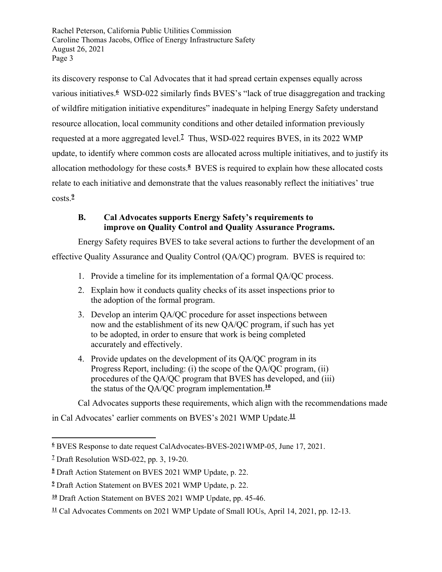its discovery response to Cal Advocates that it had spread certain expenses equally across various initiatives.**<sup>6</sup>** WSD-022 similarly finds BVES's "lack of true disaggregation and tracking of wildfire mitigation initiative expenditures" inadequate in helping Energy Safety understand resource allocation, local community conditions and other detailed information previously requested at a more aggregated level.**<sup>7</sup>** Thus, WSD-022 requires BVES, in its 2022 WMP update, to identify where common costs are allocated across multiple initiatives, and to justify its allocation methodology for these costs.**<sup>8</sup>** BVES is required to explain how these allocated costs relate to each initiative and demonstrate that the values reasonably reflect the initiatives' true costs.**<sup>9</sup>**

## **B. Cal Advocates supports Energy Safety's requirements to improve on Quality Control and Quality Assurance Programs.**

Energy Safety requires BVES to take several actions to further the development of an effective Quality Assurance and Quality Control (QA/QC) program. BVES is required to:

- 1. Provide a timeline for its implementation of a formal QA/QC process.
- 2. Explain how it conducts quality checks of its asset inspections prior to the adoption of the formal program.
- 3. Develop an interim QA/QC procedure for asset inspections between now and the establishment of its new QA/QC program, if such has yet to be adopted, in order to ensure that work is being completed accurately and effectively.
- 4. Provide updates on the development of its QA/QC program in its Progress Report, including: (i) the scope of the QA/QC program, (ii) procedures of the QA/QC program that BVES has developed, and (iii) the status of the QA/QC program implementation.**<sup>10</sup>**

Cal Advocates supports these requirements, which align with the recommendations made

in Cal Advocates' earlier comments on BVES's 2021 WMP Update.**<sup>11</sup>**

**<sup>6</sup>** BVES Response to date request CalAdvocates-BVES-2021WMP-05, June 17, 2021.

**<sup>7</sup>** Draft Resolution WSD-022, pp. 3, 19-20.

**<sup>8</sup>** Draft Action Statement on BVES 2021 WMP Update, p. 22.

**<sup>9</sup>** Draft Action Statement on BVES 2021 WMP Update, p. 22.

**<sup>10</sup>** Draft Action Statement on BVES 2021 WMP Update, pp. 45-46.

**<sup>11</sup>** Cal Advocates Comments on 2021 WMP Update of Small IOUs, April 14, 2021, pp. 12-13.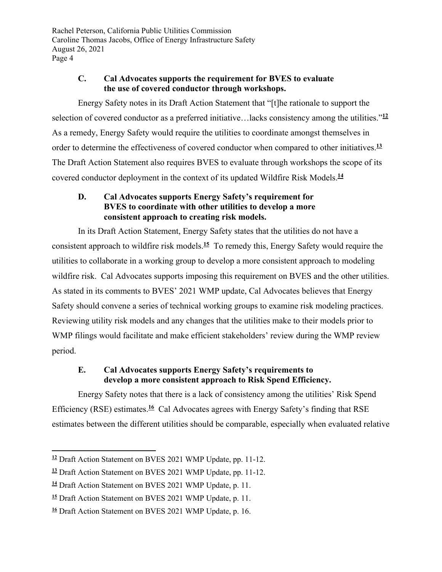## **C. Cal Advocates supports the requirement for BVES to evaluate the use of covered conductor through workshops.**

Energy Safety notes in its Draft Action Statement that "[t]he rationale to support the selection of covered conductor as a preferred initiative…lacks consistency among the utilities."**<sup>12</sup>** As a remedy, Energy Safety would require the utilities to coordinate amongst themselves in order to determine the effectiveness of covered conductor when compared to other initiatives.**<sup>13</sup>** The Draft Action Statement also requires BVES to evaluate through workshops the scope of its covered conductor deployment in the context of its updated Wildfire Risk Models.**<sup>14</sup>**

# **D. Cal Advocates supports Energy Safety's requirement for BVES to coordinate with other utilities to develop a more consistent approach to creating risk models.**

In its Draft Action Statement, Energy Safety states that the utilities do not have a consistent approach to wildfire risk models.**<sup>15</sup>** To remedy this, Energy Safety would require the utilities to collaborate in a working group to develop a more consistent approach to modeling wildfire risk. Cal Advocates supports imposing this requirement on BVES and the other utilities. As stated in its comments to BVES' 2021 WMP update, Cal Advocates believes that Energy Safety should convene a series of technical working groups to examine risk modeling practices. Reviewing utility risk models and any changes that the utilities make to their models prior to WMP filings would facilitate and make efficient stakeholders' review during the WMP review period.

## **E. Cal Advocates supports Energy Safety's requirements to develop a more consistent approach to Risk Spend Efficiency.**

Energy Safety notes that there is a lack of consistency among the utilities' Risk Spend Efficiency (RSE) estimates.**<sup>16</sup>** Cal Advocates agrees with Energy Safety's finding that RSE estimates between the different utilities should be comparable, especially when evaluated relative

**<sup>12</sup>** Draft Action Statement on BVES 2021 WMP Update, pp. 11-12.

**<sup>13</sup>** Draft Action Statement on BVES 2021 WMP Update, pp. 11-12.

**<sup>14</sup>** Draft Action Statement on BVES 2021 WMP Update, p. 11.

**<sup>15</sup>** Draft Action Statement on BVES 2021 WMP Update, p. 11.

**<sup>16</sup>** Draft Action Statement on BVES 2021 WMP Update, p. 16.